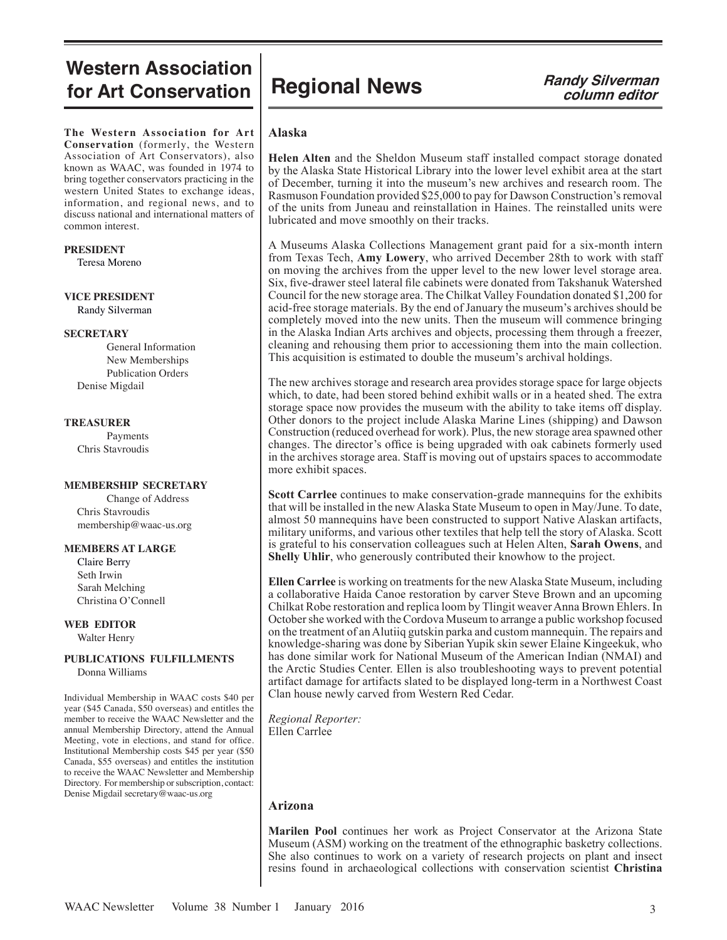# **Western Association for Art Conservation Regional News Randy Silverman**

**The Western Association for Art Conservation** (formerly, the Western Association of Art Conservators), also known as WAAC, was founded in 1974 to bring together conservators practicing in the western United States to exchange ideas, information, and regional news, and to discuss national and international matters of common interest.

#### **PRESIDENT**

Teresa Moreno

#### **VICE PRESIDENT** Randy Silverman

#### **SECRETARY**

General Information New Memberships Publication Orders Denise Migdail

#### **TREASURER**

Payments Chris Stavroudis

#### **MEMBERSHIP SECRETARY**

Change of Address Chris Stavroudis membership@waac-us.org

#### **MEMBERS AT LARGE**

 Claire Berry Seth Irwin Sarah Melching Christina O'Connell

**WEB EDITOR** Walter Henry

#### **PUBLICATIONS FULFILLMENTS** Donna Williams

Individual Membership in WAAC costs \$40 per year (\$45 Canada, \$50 overseas) and entitles the member to receive the WAAC Newsletter and the annual Membership Directory, attend the Annual Meeting, vote in elections, and stand for office. Institutional Membership costs \$45 per year (\$50 Canada, \$55 overseas) and entitles the institution to receive the WAAC Newsletter and Membership Directory. For membership or subscription, contact: Denise Migdail secretary@waac-us.org

# **column editor**

# **Alaska**

**Helen Alten** and the Sheldon Museum staff installed compact storage donated by the Alaska State Historical Library into the lower level exhibit area at the start of December, turning it into the museum's new archives and research room. The Rasmuson Foundation provided \$25,000 to pay for Dawson Construction's removal of the units from Juneau and reinstallation in Haines. The reinstalled units were lubricated and move smoothly on their tracks.

A Museums Alaska Collections Management grant paid for a six-month intern from Texas Tech, **Amy Lowery**, who arrived December 28th to work with staff on moving the archives from the upper level to the new lower level storage area. Six, five-drawer steel lateral file cabinets were donated from Takshanuk Watershed Council for the new storage area. The Chilkat Valley Foundation donated \$1,200 for acid-free storage materials. By the end of January the museum's archives should be completely moved into the new units. Then the museum will commence bringing in the Alaska Indian Arts archives and objects, processing them through a freezer, cleaning and rehousing them prior to accessioning them into the main collection. This acquisition is estimated to double the museum's archival holdings.

The new archives storage and research area provides storage space for large objects which, to date, had been stored behind exhibit walls or in a heated shed. The extra storage space now provides the museum with the ability to take items off display. Other donors to the project include Alaska Marine Lines (shipping) and Dawson Construction (reduced overhead for work). Plus, the new storage area spawned other changes. The director's office is being upgraded with oak cabinets formerly used in the archives storage area. Staff is moving out of upstairs spaces to accommodate more exhibit spaces.

**Scott Carrlee** continues to make conservation-grade mannequins for the exhibits that will be installed in the new Alaska State Museum to open in May/June. To date, almost 50 mannequins have been constructed to support Native Alaskan artifacts, military uniforms, and various other textiles that help tell the story of Alaska. Scott is grateful to his conservation colleagues such at Helen Alten, **Sarah Owens**, and **Shelly Uhlir**, who generously contributed their knowhow to the project.

**Ellen Carrlee** is working on treatments for the new Alaska State Museum, including a collaborative Haida Canoe restoration by carver Steve Brown and an upcoming Chilkat Robe restoration and replica loom by Tlingit weaver Anna Brown Ehlers. In October she worked with the Cordova Museum to arrange a public workshop focused on the treatment of an Alutiiq gutskin parka and custom mannequin. The repairs and knowledge-sharing was done by Siberian Yupik skin sewer Elaine Kingeekuk, who has done similar work for National Museum of the American Indian (NMAI) and the Arctic Studies Center. Ellen is also troubleshooting ways to prevent potential artifact damage for artifacts slated to be displayed long-term in a Northwest Coast Clan house newly carved from Western Red Cedar.

*Regional Reporter:* Ellen Carrlee

# **Arizona**

**Marilen Pool** continues her work as Project Conservator at the Arizona State Museum (ASM) working on the treatment of the ethnographic basketry collections. She also continues to work on a variety of research projects on plant and insect resins found in archaeological collections with conservation scientist **Christina**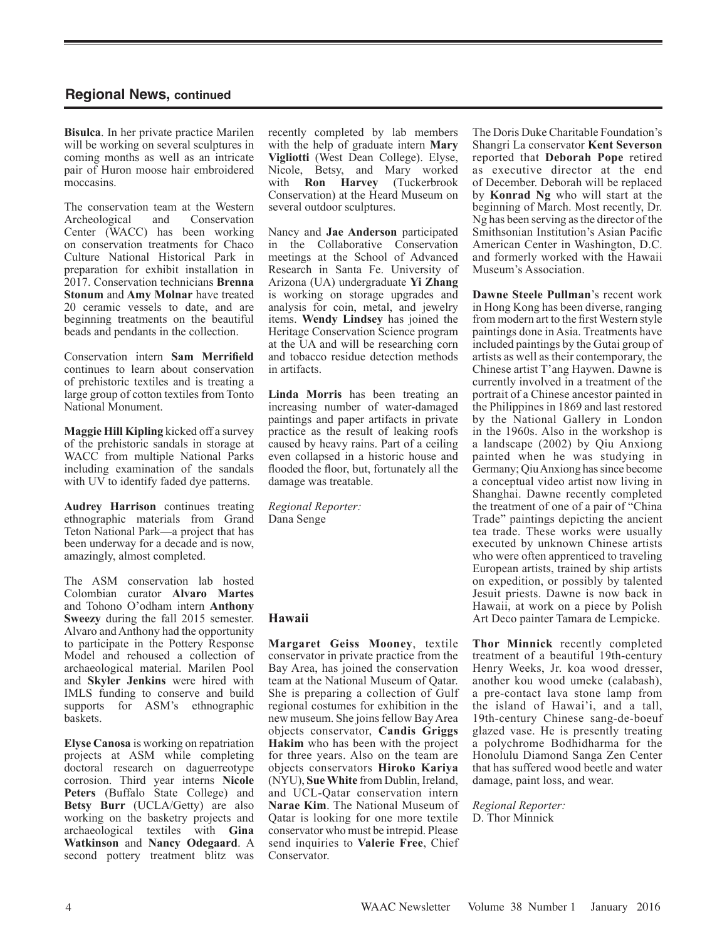**Bisulca**. In her private practice Marilen will be working on several sculptures in coming months as well as an intricate pair of Huron moose hair embroidered moccasins.

The conservation team at the Western Archeological and Conservation Center (WACC) has been working on conservation treatments for Chaco Culture National Historical Park in preparation for exhibit installation in 2017. Conservation technicians **Brenna Stonum** and **Amy Molnar** have treated 20 ceramic vessels to date, and are beginning treatments on the beautiful beads and pendants in the collection.

Conservation intern **Sam Merrifield** continues to learn about conservation of prehistoric textiles and is treating a large group of cotton textiles from Tonto National Monument.

**Maggie Hill Kipling** kicked off a survey of the prehistoric sandals in storage at WACC from multiple National Parks including examination of the sandals with UV to identify faded dye patterns.

**Audrey Harrison** continues treating ethnographic materials from Grand Teton National Park—a project that has been underway for a decade and is now, amazingly, almost completed.

The ASM conservation lab hosted Colombian curator **Alvaro Martes** and Tohono O'odham intern **Anthony Sweezy** during the fall 2015 semester. Alvaro and Anthony had the opportunity to participate in the Pottery Response Model and rehoused a collection of archaeological material. Marilen Pool and **Skyler Jenkins** were hired with IMLS funding to conserve and build supports for ASM's ethnographic baskets.

**Elyse Canosa** is working on repatriation projects at ASM while completing doctoral research on daguerreotype corrosion. Third year interns **Nicole Peters** (Buffalo State College) and **Betsy Burr** (UCLA/Getty) are also working on the basketry projects and archaeological textiles with **Gina Watkinson** and **Nancy Odegaard**. A second pottery treatment blitz was

recently completed by lab members with the help of graduate intern **Mary Vigliotti** (West Dean College). Elyse, Nicole, Betsy, and Mary worked<br>with **Ron Harvey** (Tuckerbrook **Ron Harvey** Conservation) at the Heard Museum on several outdoor sculptures.

Nancy and **Jae Anderson** participated in the Collaborative Conservation meetings at the School of Advanced Research in Santa Fe. University of Arizona (UA) undergraduate **Yi Zhang** is working on storage upgrades and analysis for coin, metal, and jewelry items. **Wendy Lindsey** has joined the Heritage Conservation Science program at the UA and will be researching corn and tobacco residue detection methods in artifacts.

**Linda Morris** has been treating an increasing number of water-damaged paintings and paper artifacts in private practice as the result of leaking roofs caused by heavy rains. Part of a ceiling even collapsed in a historic house and flooded the floor, but, fortunately all the damage was treatable.

*Regional Reporter:* Dana Senge

# **Hawaii**

**Margaret Geiss Mooney**, textile conservator in private practice from the Bay Area, has joined the conservation team at the National Museum of Qatar. She is preparing a collection of Gulf regional costumes for exhibition in the new museum. She joins fellow Bay Area objects conservator, **Candis Griggs Hakim** who has been with the project for three years. Also on the team are objects conservators **Hiroko Kariya** (NYU), **Sue White** from Dublin, Ireland, and UCL-Qatar conservation intern **Narae Kim**. The National Museum of Qatar is looking for one more textile conservator who must be intrepid. Please send inquiries to **Valerie Free**, Chief Conservator.

The Doris Duke Charitable Foundation's Shangri La conservator **Kent Severson** reported that **Deborah Pope** retired as executive director at the end of December. Deborah will be replaced by **Konrad Ng** who will start at the beginning of March. Most recently, Dr. Ng has been serving as the director of the Smithsonian Institution's Asian Pacific American Center in Washington, D.C. and formerly worked with the Hawaii Museum's Association.

**Dawne Steele Pullman**'s recent work in Hong Kong has been diverse, ranging from modern art to the first Western style paintings done in Asia. Treatments have included paintings by the Gutai group of artists as well as their contemporary, the Chinese artist T'ang Haywen. Dawne is currently involved in a treatment of the portrait of a Chinese ancestor painted in the Philippines in 1869 and last restored by the National Gallery in London in the 1960s. Also in the workshop is a landscape (2002) by Qiu Anxiong painted when he was studying in Germany; Qiu Anxiong has since become a conceptual video artist now living in Shanghai. Dawne recently completed the treatment of one of a pair of "China Trade" paintings depicting the ancient tea trade. These works were usually executed by unknown Chinese artists who were often apprenticed to traveling European artists, trained by ship artists on expedition, or possibly by talented Jesuit priests. Dawne is now back in Hawaii, at work on a piece by Polish Art Deco painter Tamara de Lempicke.

**Thor Minnick** recently completed treatment of a beautiful 19th-century Henry Weeks, Jr. koa wood dresser, another kou wood umeke (calabash), a pre-contact lava stone lamp from the island of Hawai'i, and a tall, 19th-century Chinese sang-de-boeuf glazed vase. He is presently treating a polychrome Bodhidharma for the Honolulu Diamond Sanga Zen Center that has suffered wood beetle and water damage, paint loss, and wear.

*Regional Reporter:* D. Thor Minnick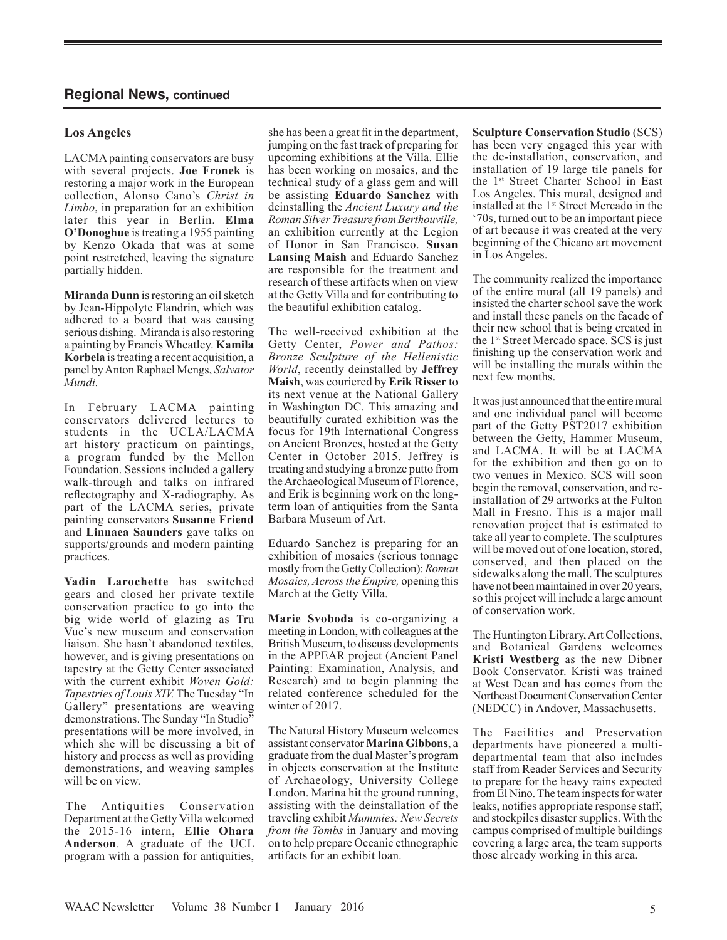# **Los Angeles**

LACMA painting conservators are busy with several projects. **Joe Fronek** is restoring a major work in the European collection, Alonso Cano's *Christ in Limbo*, in preparation for an exhibition later this year in Berlin. **Elma O'Donoghue** is treating a 1955 painting by Kenzo Okada that was at some point restretched, leaving the signature partially hidden.

**Miranda Dunn** is restoring an oil sketch by Jean-Hippolyte Flandrin, which was adhered to a board that was causing serious dishing. Miranda is also restoring a painting by Francis Wheatley. **Kamila Korbela** is treating a recent acquisition, a panel by Anton Raphael Mengs, *Salvator Mundi.*

In February LACMA painting conservators delivered lectures to students in the UCLA/LACMA art history practicum on paintings, a program funded by the Mellon Foundation. Sessions included a gallery walk-through and talks on infrared reflectography and X-radiography. As part of the LACMA series, private painting conservators **Susanne Friend** and **Linnaea Saunders** gave talks on supports/grounds and modern painting practices.

**Yadin Larochette** has switched gears and closed her private textile conservation practice to go into the big wide world of glazing as Tru Vue's new museum and conservation liaison. She hasn't abandoned textiles, however, and is giving presentations on tapestry at the Getty Center associated with the current exhibit *Woven Gold: Tapestries of Louis XIV.* The Tuesday "In Gallery" presentations are weaving demonstrations. The Sunday "In Studio" presentations will be more involved, in which she will be discussing a bit of history and process as well as providing demonstrations, and weaving samples will be on view.

The Antiquities Conservation Department at the Getty Villa welcomed the 2015-16 intern, **Ellie Ohara Anderson**. A graduate of the UCL program with a passion for antiquities,

she has been a great fit in the department, jumping on the fast track of preparing for upcoming exhibitions at the Villa. Ellie has been working on mosaics, and the technical study of a glass gem and will be assisting **Eduardo Sanchez** with deinstalling the *Ancient Luxury and the Roman Silver Treasure from Berthouville,*  an exhibition currently at the Legion of Honor in San Francisco. **Susan Lansing Maish** and Eduardo Sanchez are responsible for the treatment and research of these artifacts when on view at the Getty Villa and for contributing to the beautiful exhibition catalog.

The well-received exhibition at the Getty Center, *Power and Pathos: Bronze Sculpture of the Hellenistic World*, recently deinstalled by **Jeffrey Maish**, was couriered by **Erik Risser** to its next venue at the National Gallery in Washington DC. This amazing and beautifully curated exhibition was the focus for 19th International Congress on Ancient Bronzes, hosted at the Getty Center in October 2015. Jeffrey is treating and studying a bronze putto from the Archaeological Museum of Florence, and Erik is beginning work on the longterm loan of antiquities from the Santa Barbara Museum of Art.

Eduardo Sanchez is preparing for an exhibition of mosaics (serious tonnage mostly from the Getty Collection): *Roman Mosaics, Across the Empire,* opening this March at the Getty Villa.

**Marie Svoboda** is co-organizing a meeting in London, with colleagues at the British Museum, to discuss developments in the APPEAR project (Ancient Panel Painting: Examination, Analysis, and Research) and to begin planning the related conference scheduled for the winter of 2017.

The Natural History Museum welcomes assistant conservator **Marina Gibbons**, a graduate from the dual Master's program in objects conservation at the Institute of Archaeology, University College London. Marina hit the ground running, assisting with the deinstallation of the traveling exhibit *Mummies: New Secrets from the Tombs* in January and moving on to help prepare Oceanic ethnographic artifacts for an exhibit loan.

**Sculpture Conservation Studio** (SCS) has been very engaged this year with the de-installation, conservation, and installation of 19 large tile panels for the 1st Street Charter School in East Los Angeles. This mural, designed and installed at the 1<sup>st</sup> Street Mercado in the '70s, turned out to be an important piece of art because it was created at the very beginning of the Chicano art movement in Los Angeles.

The community realized the importance of the entire mural (all 19 panels) and insisted the charter school save the work and install these panels on the facade of their new school that is being created in the 1st Street Mercado space. SCS is just finishing up the conservation work and will be installing the murals within the next few months.

It was just announced that the entire mural and one individual panel will become part of the Getty PST2017 exhibition between the Getty, Hammer Museum, and LACMA. It will be at LACMA for the exhibition and then go on to two venues in Mexico. SCS will soon begin the removal, conservation, and reinstallation of 29 artworks at the Fulton Mall in Fresno. This is a major mall renovation project that is estimated to take all year to complete. The sculptures will be moved out of one location, stored, conserved, and then placed on the sidewalks along the mall. The sculptures have not been maintained in over 20 years, so this project will include a large amount of conservation work.

The Huntington Library, Art Collections, and Botanical Gardens welcomes **Kristi Westberg** as the new Dibner Book Conservator. Kristi was trained at West Dean and has comes from the Northeast Document Conservation Center (NEDCC) in Andover, Massachusetts.

The Facilities and Preservation departments have pioneered a multidepartmental team that also includes staff from Reader Services and Security to prepare for the heavy rains expected from El Nino.The team inspects for water leaks, notifies appropriate response staff, and stockpiles disaster supplies. With the campus comprised of multiple buildings covering a large area, the team supports those already working in this area.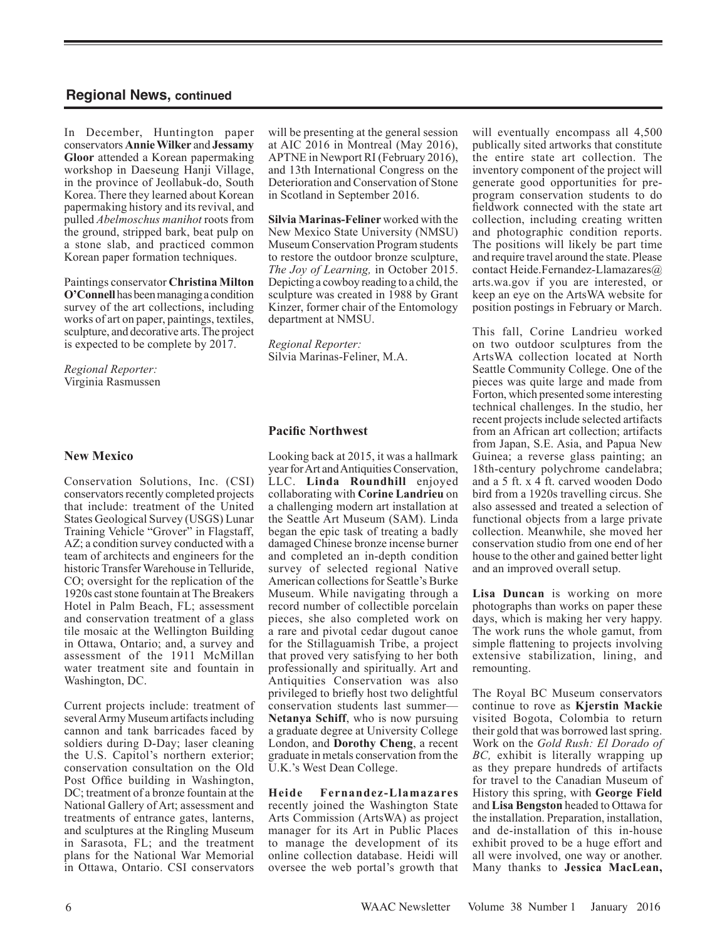In December, Huntington paper conservators **Annie Wilker** and **Jessamy Gloor** attended a Korean papermaking workshop in Daeseung Hanji Village, in the province of Jeollabuk-do, South Korea. There they learned about Korean papermaking history and its revival, and pulled *Abelmoschus manihot* roots from the ground, stripped bark, beat pulp on a stone slab, and practiced common Korean paper formation techniques.

Paintings conservator **Christina Milton O'Connell** has been managing a condition survey of the art collections, including works of art on paper, paintings, textiles, sculpture, and decorative arts.The project is expected to be complete by 2017.

#### *Regional Reporter:* Virginia Rasmussen

#### **New Mexico**

Conservation Solutions, Inc. (CSI) conservators recently completed projects that include: treatment of the United States Geological Survey (USGS) Lunar Training Vehicle "Grover" in Flagstaff, AZ; a condition survey conducted with a team of architects and engineers for the historic Transfer Warehouse in Telluride, CO; oversight for the replication of the 1920s cast stone fountain at The Breakers Hotel in Palm Beach, FL; assessment and conservation treatment of a glass tile mosaic at the Wellington Building in Ottawa, Ontario; and, a survey and assessment of the 1911 McMillan water treatment site and fountain in Washington, DC.

Current projects include: treatment of several Army Museum artifacts including cannon and tank barricades faced by soldiers during D-Day; laser cleaning the U.S. Capitol's northern exterior; conservation consultation on the Old Post Office building in Washington, DC; treatment of a bronze fountain at the National Gallery of Art; assessment and treatments of entrance gates, lanterns, and sculptures at the Ringling Museum in Sarasota, FL; and the treatment plans for the National War Memorial in Ottawa, Ontario. CSI conservators

will be presenting at the general session at AIC 2016 in Montreal (May 2016), APTNE in Newport RI (February 2016), and 13th International Congress on the Deterioration and Conservation of Stone in Scotland in September 2016.

**Silvia Marinas-Feliner** worked with the New Mexico State University (NMSU) Museum Conservation Program students to restore the outdoor bronze sculpture, *The Joy of Learning,* in October 2015. Depicting a cowboy reading to a child, the sculpture was created in 1988 by Grant Kinzer, former chair of the Entomology department at NMSU.

*Regional Reporter:* Silvia Marinas-Feliner, M.A.

# **Pacific Northwest**

Looking back at 2015, it was a hallmark year for Art and Antiquities Conservation, LLC. **Linda Roundhill** enjoyed collaborating with **Corine Landrieu** on a challenging modern art installation at the Seattle Art Museum (SAM). Linda began the epic task of treating a badly damaged Chinese bronze incense burner and completed an in-depth condition survey of selected regional Native American collections for Seattle's Burke Museum. While navigating through a record number of collectible porcelain pieces, she also completed work on a rare and pivotal cedar dugout canoe for the Stillaguamish Tribe, a project that proved very satisfying to her both professionally and spiritually. Art and Antiquities Conservation was also privileged to briefly host two delightful conservation students last summer— **Netanya Schiff**, who is now pursuing a graduate degree at University College London, and **Dorothy Cheng**, a recent graduate in metals conservation from the U.K.'s West Dean College.

**Heide Fernandez-Llamazares**  recently joined the Washington State Arts Commission (ArtsWA) as project manager for its Art in Public Places to manage the development of its online collection database. Heidi will oversee the web portal's growth that will eventually encompass all 4,500 publically sited artworks that constitute the entire state art collection. The inventory component of the project will generate good opportunities for preprogram conservation students to do fieldwork connected with the state art collection, including creating written and photographic condition reports. The positions will likely be part time and require travel around the state. Please contact Heide.Fernandez-Llamazares@ arts.wa.gov if you are interested, or keep an eye on the ArtsWA website for position postings in February or March.

This fall, Corine Landrieu worked on two outdoor sculptures from the ArtsWA collection located at North Seattle Community College. One of the pieces was quite large and made from Forton, which presented some interesting technical challenges. In the studio, her recent projects include selected artifacts from an African art collection; artifacts from Japan, S.E. Asia, and Papua New Guinea; a reverse glass painting; an 18th-century polychrome candelabra; and a 5 ft. x 4 ft. carved wooden Dodo bird from a 1920s travelling circus. She also assessed and treated a selection of functional objects from a large private collection. Meanwhile, she moved her conservation studio from one end of her house to the other and gained better light and an improved overall setup.

**Lisa Duncan** is working on more photographs than works on paper these days, which is making her very happy. The work runs the whole gamut, from simple flattening to projects involving extensive stabilization, lining, and remounting.

The Royal BC Museum conservators continue to rove as **Kjerstin Mackie**  visited Bogota, Colombia to return their gold that was borrowed last spring. Work on the *Gold Rush: El Dorado of BC,* exhibit is literally wrapping up as they prepare hundreds of artifacts for travel to the Canadian Museum of History this spring, with **George Field**  and **Lisa Bengston** headed to Ottawa for the installation. Preparation, installation, and de-installation of this in-house exhibit proved to be a huge effort and all were involved, one way or another. Many thanks to **Jessica MacLean,**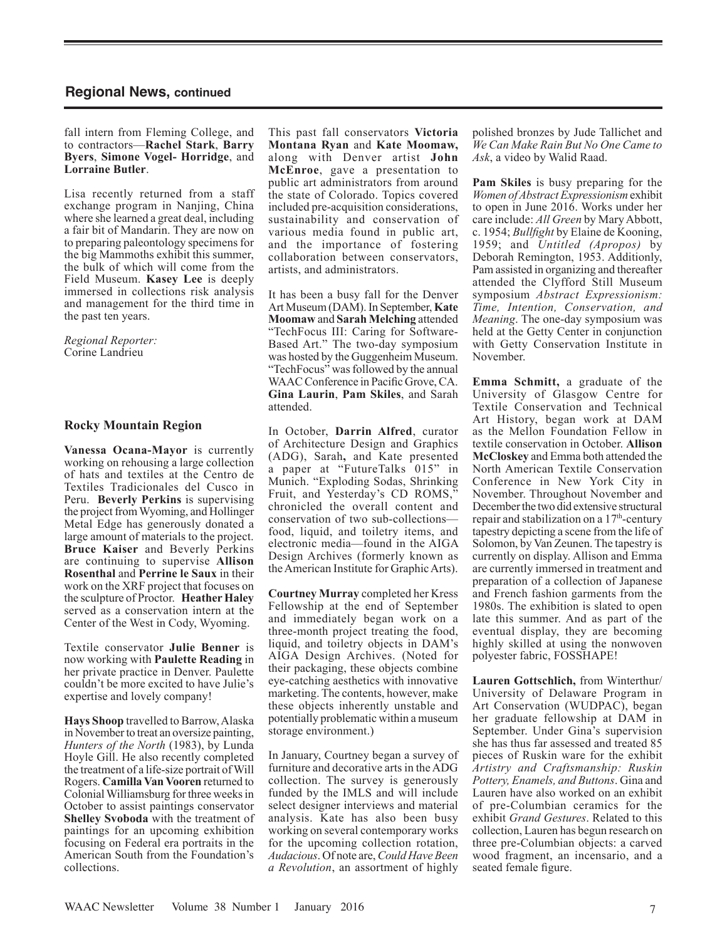fall intern from Fleming College, and to contractors—**Rachel Stark**, **Barry Byers**, **Simone Vogel- Horridge**, and **Lorraine Butler**.

Lisa recently returned from a staff exchange program in Nanjing, China where she learned a great deal, including a fair bit of Mandarin. They are now on to preparing paleontology specimens for the big Mammoths exhibit this summer, the bulk of which will come from the Field Museum. **Kasey Lee** is deeply immersed in collections risk analysis and management for the third time in the past ten years.

*Regional Reporter:*  Corine Landrieu

# **Rocky Mountain Region**

**Vanessa Ocana-Mayor** is currently working on rehousing a large collection of hats and textiles at the Centro de Textiles Tradicionales del Cusco in Peru. **Beverly Perkins** is supervising the project from Wyoming, and Hollinger Metal Edge has generously donated a large amount of materials to the project. **Bruce Kaiser** and Beverly Perkins are continuing to supervise **Allison Rosenthal** and **Perrine le Saux** in their work on the XRF project that focuses on the sculpture of Proctor. **Heather Haley** served as a conservation intern at the Center of the West in Cody, Wyoming.

Textile conservator **Julie Benner** is now working with **Paulette Reading** in her private practice in Denver. Paulette couldn't be more excited to have Julie's expertise and lovely company!

**Hays Shoop** travelled to Barrow, Alaska in November to treat an oversize painting, *Hunters of the North* (1983), by Lunda Hoyle Gill. He also recently completed the treatment of a life-size portrait of Will Rogers. **Camilla Van Vooren** returned to Colonial Williamsburg for three weeks in October to assist paintings conservator **Shelley Svoboda** with the treatment of paintings for an upcoming exhibition focusing on Federal era portraits in the American South from the Foundation's collections.

This past fall conservators **Victoria Montana Ryan** and **Kate Moomaw,** along with Denver artist **John McEnroe**, gave a presentation to public art administrators from around the state of Colorado. Topics covered included pre-acquisition considerations, sustainability and conservation of various media found in public art, and the importance of fostering collaboration between conservators, artists, and administrators.

It has been a busy fall for the Denver Art Museum (DAM).In September, **Kate Moomaw** and **Sarah Melching** attended "TechFocus III: Caring for Software-Based Art." The two-day symposium was hosted by the Guggenheim Museum. "TechFocus" was followed by the annual WAAC Conference in Pacific Grove, CA. **Gina Laurin**, **Pam Skiles**, and Sarah attended.

In October, **Darrin Alfred**, curator of Architecture Design and Graphics (ADG), Sarah**,** and Kate presented a paper at "FutureTalks 015" in Munich. "Exploding Sodas, Shrinking Fruit, and Yesterday's CD ROMS," chronicled the overall content and conservation of two sub-collections food, liquid, and toiletry items, and electronic media—found in the AIGA Design Archives (formerly known as the American Institute for Graphic Arts).

**Courtney Murray** completed her Kress Fellowship at the end of September and immediately began work on a three-month project treating the food, liquid, and toiletry objects in DAM's AIGA Design Archives. (Noted for their packaging, these objects combine eye-catching aesthetics with innovative marketing. The contents, however, make these objects inherently unstable and potentially problematic within a museum storage environment.)

In January, Courtney began a survey of furniture and decorative arts in the ADG collection. The survey is generously funded by the IMLS and will include select designer interviews and material analysis. Kate has also been busy working on several contemporary works for the upcoming collection rotation, *Audacious*. Of note are, *Could Have Been a Revolution*, an assortment of highly

polished bronzes by Jude Tallichet and *We Can Make Rain But No One Came to Ask*, a video by Walid Raad.

**Pam Skiles** is busy preparing for the *Women of Abstract Expressionism* exhibit to open in June 2016. Works under her care include: *All Green* by Mary Abbott, c. 1954; *Bullfight* by Elaine de Kooning, 1959; and *Untitled (Apropos)* by Deborah Remington, 1953. Additionly, Pam assisted in organizing and thereafter attended the Clyfford Still Museum symposium *Abstract Expressionism: Time, Intention, Conservation, and Meaning*. The one-day symposium was held at the Getty Center in conjunction with Getty Conservation Institute in November.

**Emma Schmitt,** a graduate of the University of Glasgow Centre for Textile Conservation and Technical Art History, began work at DAM as the Mellon Foundation Fellow in textile conservation in October. **Allison McCloskey** and Emma both attended the North American Textile Conservation Conference in New York City in November. Throughout November and December the two did extensive structural repair and stabilization on a  $17<sup>th</sup>$ -century tapestry depicting a scene from the life of Solomon, by Van Zeunen. The tapestry is currently on display. Allison and Emma are currently immersed in treatment and preparation of a collection of Japanese and French fashion garments from the 1980s. The exhibition is slated to open late this summer. And as part of the eventual display, they are becoming highly skilled at using the nonwoven polyester fabric, FOSSHAPE!

**Lauren Gottschlich,** from Winterthur/ University of Delaware Program in Art Conservation (WUDPAC), began her graduate fellowship at DAM in September. Under Gina's supervision she has thus far assessed and treated 85 pieces of Ruskin ware for the exhibit *Artistry and Craftsmanship: Ruskin Pottery, Enamels, and Buttons*. Gina and Lauren have also worked on an exhibit of pre-Columbian ceramics for the exhibit *Grand Gestures*. Related to this collection, Lauren has begun research on three pre-Columbian objects: a carved wood fragment, an incensario, and a seated female figure.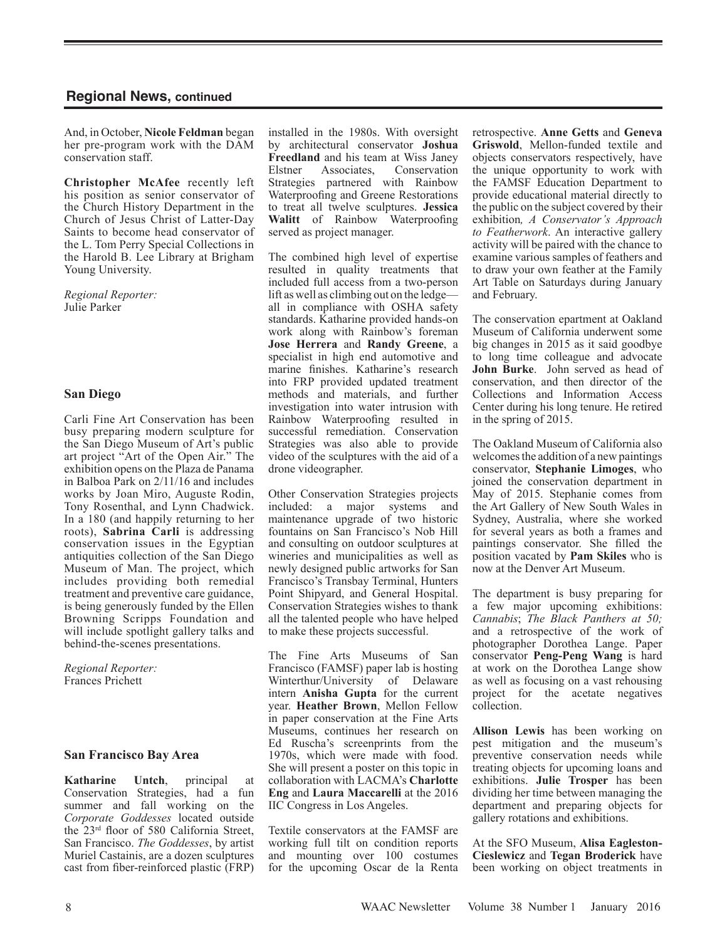And, in October, **Nicole Feldman** began her pre-program work with the DAM conservation staff.

**Christopher McAfee** recently left his position as senior conservator of the Church History Department in the Church of Jesus Christ of Latter-Day Saints to become head conservator of the L. Tom Perry Special Collections in the Harold B. Lee Library at Brigham Young University.

*Regional Reporter:* Julie Parker

#### **San Diego**

Carli Fine Art Conservation has been busy preparing modern sculpture for the San Diego Museum of Art's public art project "Art of the Open Air." The exhibition opens on the Plaza de Panama in Balboa Park on 2/11/16 and includes works by Joan Miro, Auguste Rodin, Tony Rosenthal, and Lynn Chadwick. In a 180 (and happily returning to her roots), **Sabrina Carli** is addressing conservation issues in the Egyptian antiquities collection of the San Diego Museum of Man. The project, which includes providing both remedial treatment and preventive care guidance, is being generously funded by the Ellen Browning Scripps Foundation and will include spotlight gallery talks and behind-the-scenes presentations.

*Regional Reporter:*  Frances Prichett

#### **San Francisco Bay Area**

**Katharine Untch**, principal at Conservation Strategies, had a fun summer and fall working on the *Corporate Goddesses* located outside the 23rd floor of 580 California Street, San Francisco. *The Goddesses*, by artist Muriel Castainis, are a dozen sculptures cast from fiber-reinforced plastic (FRP)

installed in the 1980s. With oversight by architectural conservator **Joshua Freedland** and his team at Wiss Janey<br>Elstner Associates. Conservation Associates, Strategies partnered with Rainbow Waterproofing and Greene Restorations to treat all twelve sculptures. **Jessica Walitt** of Rainbow Waterproofing served as project manager.

The combined high level of expertise resulted in quality treatments that included full access from a two-person lift as well as climbing out on the ledge all in compliance with OSHA safety standards. Katharine provided hands-on work along with Rainbow's foreman **Jose Herrera** and **Randy Greene**, a specialist in high end automotive and marine finishes. Katharine's research into FRP provided updated treatment methods and materials, and further investigation into water intrusion with Rainbow Waterproofing resulted in successful remediation. Conservation Strategies was also able to provide video of the sculptures with the aid of a drone videographer.

Other Conservation Strategies projects included: a major systems and maintenance upgrade of two historic fountains on San Francisco's Nob Hill and consulting on outdoor sculptures at wineries and municipalities as well as newly designed public artworks for San Francisco's Transbay Terminal, Hunters Point Shipyard, and General Hospital. Conservation Strategies wishes to thank all the talented people who have helped to make these projects successful.

The Fine Arts Museums of San Francisco (FAMSF) paper lab is hosting Winterthur/University of Delaware intern **Anisha Gupta** for the current year. **Heather Brown**, Mellon Fellow in paper conservation at the Fine Arts Museums, continues her research on Ed Ruscha's screenprints from the 1970s, which were made with food. She will present a poster on this topic in collaboration with LACMA's **Charlotte Eng** and **Laura Maccarelli** at the 2016 IIC Congress in Los Angeles.

Textile conservators at the FAMSF are working full tilt on condition reports and mounting over 100 costumes for the upcoming Oscar de la Renta retrospective. **Anne Getts** and **Geneva Griswold**, Mellon-funded textile and objects conservators respectively, have the unique opportunity to work with the FAMSF Education Department to provide educational material directly to the public on the subject covered by their exhibition*, A Conservator's Approach to Featherwork*. An interactive gallery activity will be paired with the chance to examine various samples of feathers and to draw your own feather at the Family Art Table on Saturdays during January and February.

The conservation epartment at Oakland Museum of California underwent some big changes in 2015 as it said goodbye to long time colleague and advocate **John Burke**. John served as head of conservation, and then director of the Collections and Information Access Center during his long tenure. He retired in the spring of 2015.

The Oakland Museum of California also welcomes the addition of a new paintings conservator, **Stephanie Limoges**, who joined the conservation department in May of 2015. Stephanie comes from the Art Gallery of New South Wales in Sydney, Australia, where she worked for several years as both a frames and paintings conservator. She filled the position vacated by **Pam Skiles** who is now at the Denver Art Museum.

The department is busy preparing for a few major upcoming exhibitions: *Cannabis*; *The Black Panthers at 50;*  and a retrospective of the work of photographer Dorothea Lange. Paper conservator **Peng-Peng Wang** is hard at work on the Dorothea Lange show as well as focusing on a vast rehousing project for the acetate negatives collection.

**Allison Lewis** has been working on pest mitigation and the museum's preventive conservation needs while treating objects for upcoming loans and exhibitions. **Julie Trosper** has been dividing her time between managing the department and preparing objects for gallery rotations and exhibitions.

At the SFO Museum, **Alisa Eagleston-Cieslewicz** and **Tegan Broderick** have been working on object treatments in